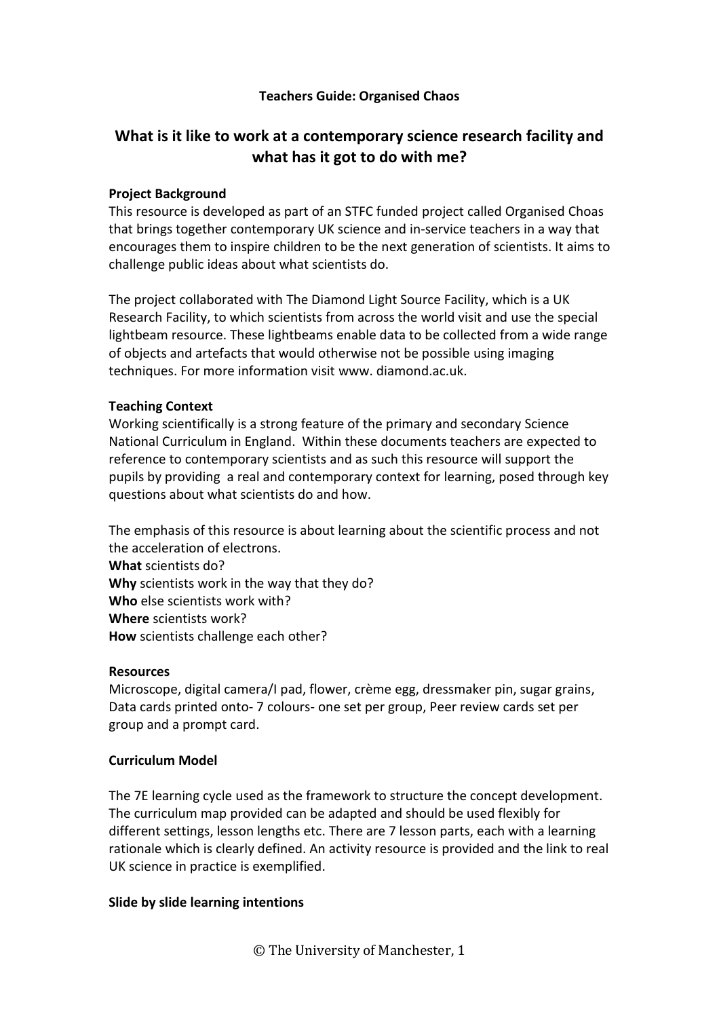## **Teachers Guide: Organised Chaos**

# **What is it like to work at a contemporary science research facility and what has it got to do with me?**

#### **Project Background**

This resource is developed as part of an STFC funded project called Organised Choas that brings together contemporary UK science and in-service teachers in a way that encourages them to inspire children to be the next generation of scientists. It aims to challenge public ideas about what scientists do.

The project collaborated with The Diamond Light Source Facility, which is a UK Research Facility, to which scientists from across the world visit and use the special lightbeam resource. These lightbeams enable data to be collected from a wide range of objects and artefacts that would otherwise not be possible using imaging techniques. For more information visit www. diamond.ac.uk.

#### **Teaching Context**

Working scientifically is a strong feature of the primary and secondary Science National Curriculum in England. Within these documents teachers are expected to reference to contemporary scientists and as such this resource will support the pupils by providing a real and contemporary context for learning, posed through key questions about what scientists do and how.

The emphasis of this resource is about learning about the scientific process and not the acceleration of electrons. **What** scientists do?

**Why** scientists work in the way that they do? **Who** else scientists work with? **Where** scientists work? **How** scientists challenge each other?

#### **Resources**

Microscope, digital camera/I pad, flower, crème egg, dressmaker pin, sugar grains, Data cards printed onto- 7 colours- one set per group, Peer review cards set per group and a prompt card.

## **Curriculum Model**

The 7E learning cycle used as the framework to structure the concept development. The curriculum map provided can be adapted and should be used flexibly for different settings, lesson lengths etc. There are 7 lesson parts, each with a learning rationale which is clearly defined. An activity resource is provided and the link to real UK science in practice is exemplified.

## **Slide by slide learning intentions**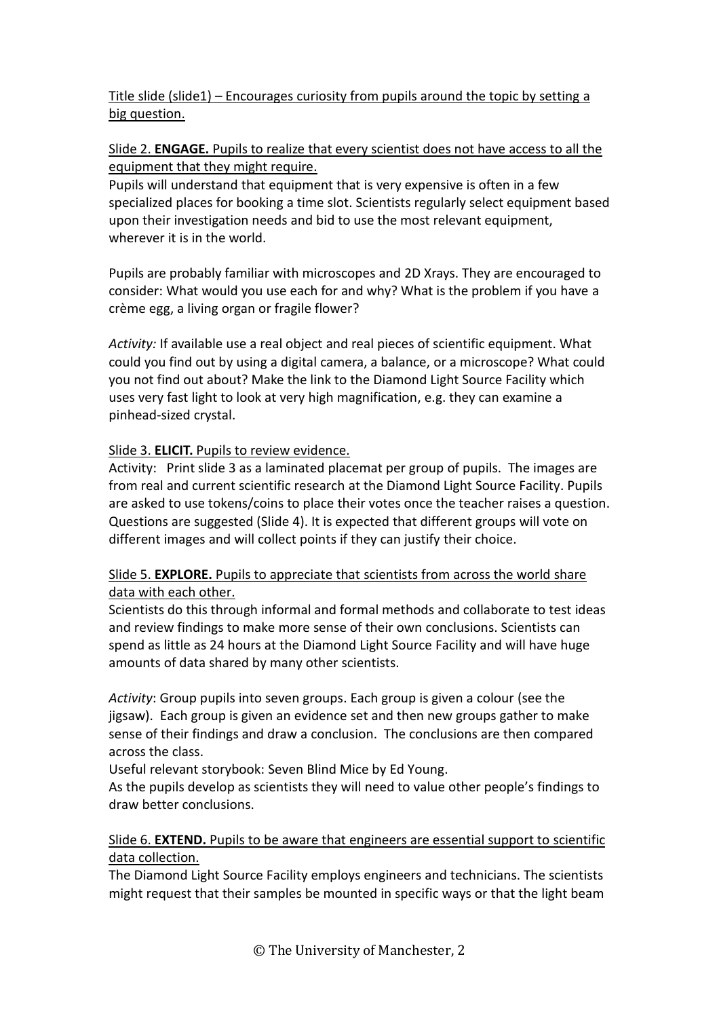# Title slide (slide1) – Encourages curiosity from pupils around the topic by setting a big question.

# Slide 2. **ENGAGE.** Pupils to realize that every scientist does not have access to all the equipment that they might require.

Pupils will understand that equipment that is very expensive is often in a few specialized places for booking a time slot. Scientists regularly select equipment based upon their investigation needs and bid to use the most relevant equipment, wherever it is in the world.

Pupils are probably familiar with microscopes and 2D Xrays. They are encouraged to consider: What would you use each for and why? What is the problem if you have a crème egg, a living organ or fragile flower?

*Activity:* If available use a real object and real pieces of scientific equipment. What could you find out by using a digital camera, a balance, or a microscope? What could you not find out about? Make the link to the Diamond Light Source Facility which uses very fast light to look at very high magnification, e.g. they can examine a pinhead-sized crystal.

# Slide 3. **ELICIT.** Pupils to review evidence.

Activity: Print slide 3 as a laminated placemat per group of pupils. The images are from real and current scientific research at the Diamond Light Source Facility. Pupils are asked to use tokens/coins to place their votes once the teacher raises a question. Questions are suggested (Slide 4). It is expected that different groups will vote on different images and will collect points if they can justify their choice.

# Slide 5. **EXPLORE.** Pupils to appreciate that scientists from across the world share data with each other.

Scientists do this through informal and formal methods and collaborate to test ideas and review findings to make more sense of their own conclusions. Scientists can spend as little as 24 hours at the Diamond Light Source Facility and will have huge amounts of data shared by many other scientists.

*Activity*: Group pupils into seven groups. Each group is given a colour (see the jigsaw). Each group is given an evidence set and then new groups gather to make sense of their findings and draw a conclusion. The conclusions are then compared across the class.

Useful relevant storybook: Seven Blind Mice by Ed Young.

As the pupils develop as scientists they will need to value other people's findings to draw better conclusions.

## Slide 6. **EXTEND.** Pupils to be aware that engineers are essential support to scientific data collection.

The Diamond Light Source Facility employs engineers and technicians. The scientists might request that their samples be mounted in specific ways or that the light beam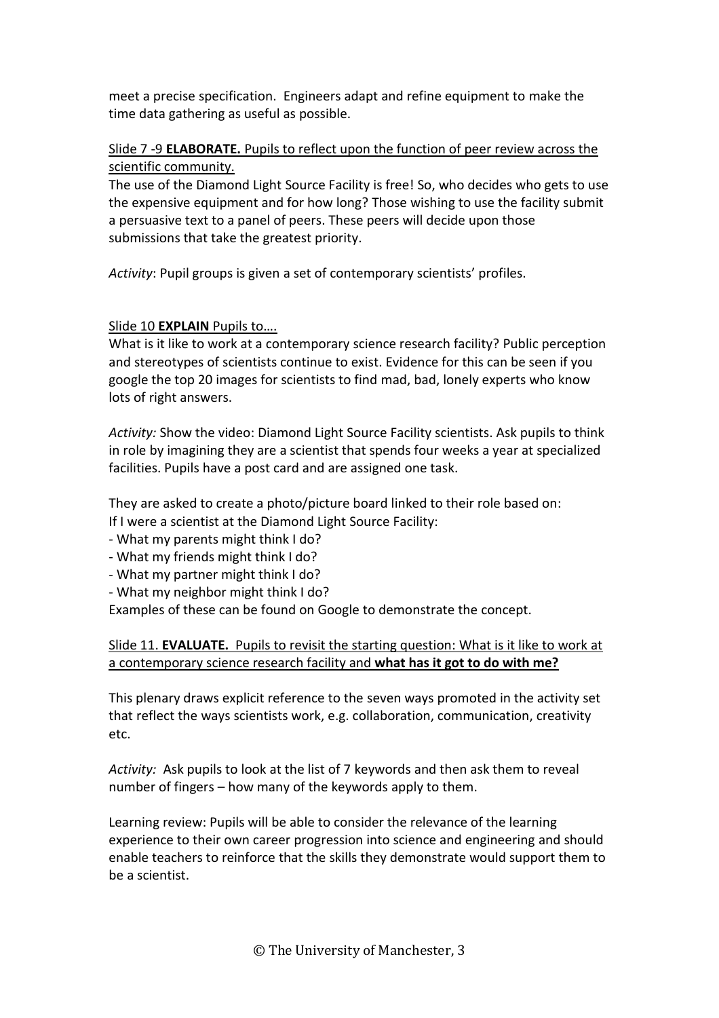meet a precise specification. Engineers adapt and refine equipment to make the time data gathering as useful as possible.

# Slide 7 -9 **ELABORATE.** Pupils to reflect upon the function of peer review across the scientific community.

The use of the Diamond Light Source Facility is free! So, who decides who gets to use the expensive equipment and for how long? Those wishing to use the facility submit a persuasive text to a panel of peers. These peers will decide upon those submissions that take the greatest priority.

*Activity*: Pupil groups is given a set of contemporary scientists' profiles.

# Slide 10 **EXPLAIN** Pupils to….

What is it like to work at a contemporary science research facility? Public perception and stereotypes of scientists continue to exist. Evidence for this can be seen if you google the top 20 images for scientists to find mad, bad, lonely experts who know lots of right answers.

*Activity:* Show the video: Diamond Light Source Facility scientists. Ask pupils to think in role by imagining they are a scientist that spends four weeks a year at specialized facilities. Pupils have a post card and are assigned one task.

They are asked to create a photo/picture board linked to their role based on: If I were a scientist at the Diamond Light Source Facility:

- What my parents might think I do?

- What my friends might think I do?

- What my partner might think I do?

- What my neighbor might think I do?

Examples of these can be found on Google to demonstrate the concept.

## Slide 11. **EVALUATE.** Pupils to revisit the starting question: What is it like to work at a contemporary science research facility and **what has it got to do with me?**

This plenary draws explicit reference to the seven ways promoted in the activity set that reflect the ways scientists work, e.g. collaboration, communication, creativity etc.

*Activity:* Ask pupils to look at the list of 7 keywords and then ask them to reveal number of fingers – how many of the keywords apply to them.

Learning review: Pupils will be able to consider the relevance of the learning experience to their own career progression into science and engineering and should enable teachers to reinforce that the skills they demonstrate would support them to be a scientist.